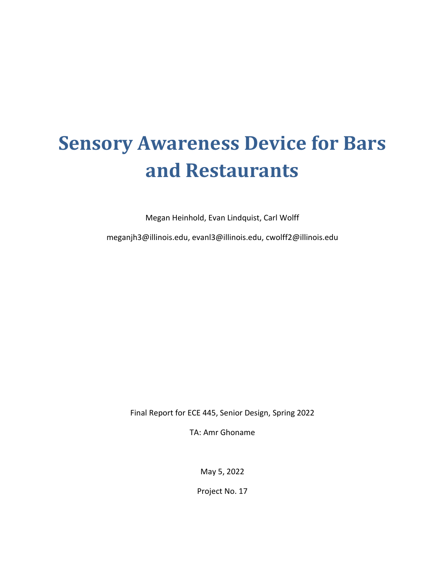# **Sensory Awareness Device for Bars and Restaurants**

Megan Heinhold, Evan Lindquist, Carl Wolff

meganjh3@illinois.edu, evanl3@illinois.edu, cwolff2@illinois.edu

Final Report for ECE 445, Senior Design, Spring 2022

TA: Amr Ghoname

May 5, 2022

Project No. 17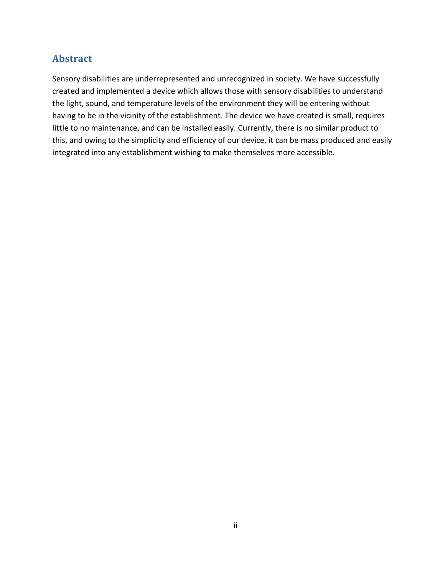### **Abstract**

Sensory disabilities are underrepresented and unrecognized in society. We have successfully created and implemented a device which allows those with sensory disabilities to understand the light, sound, and temperature levels of the environment they will be entering without having to be in the vicinity of the establishment. The device we have created is small, requires little to no maintenance, and can be installed easily. Currently, there is no similar product to this, and owing to the simplicity and efficiency of our device, it can be mass produced and easily integrated into any establishment wishing to make themselves more accessible.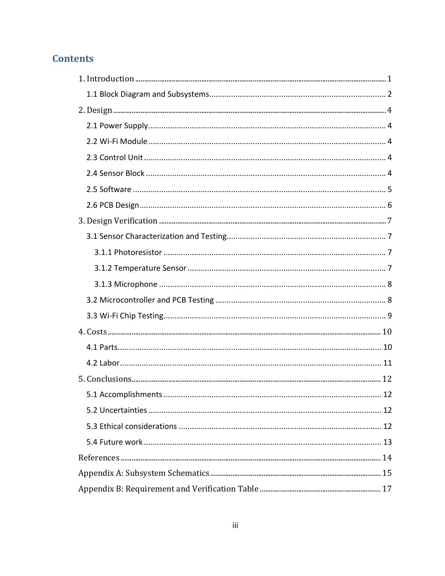## **Contents**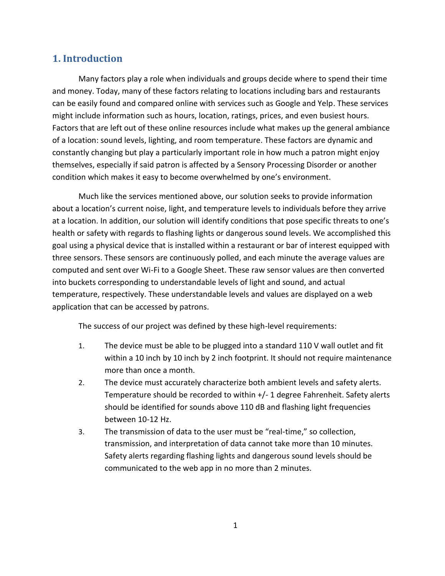### <span id="page-3-0"></span>**1. Introduction**

Many factors play a role when individuals and groups decide where to spend their time and money. Today, many of these factors relating to locations including bars and restaurants can be easily found and compared online with services such as Google and Yelp. These services might include information such as hours, location, ratings, prices, and even busiest hours. Factors that are left out of these online resources include what makes up the general ambiance of a location: sound levels, lighting, and room temperature. These factors are dynamic and constantly changing but play a particularly important role in how much a patron might enjoy themselves, especially if said patron is affected by a Sensory Processing Disorder or another condition which makes it easy to become overwhelmed by one's environment.

Much like the services mentioned above, our solution seeks to provide information about a location's current noise, light, and temperature levels to individuals before they arrive at a location. In addition, our solution will identify conditions that pose specific threats to one's health or safety with regards to flashing lights or dangerous sound levels. We accomplished this goal using a physical device that is installed within a restaurant or bar of interest equipped with three sensors. These sensors are continuously polled, and each minute the average values are computed and sent over Wi-Fi to a Google Sheet. These raw sensor values are then converted into buckets corresponding to understandable levels of light and sound, and actual temperature, respectively. These understandable levels and values are displayed on a web application that can be accessed by patrons.

The success of our project was defined by these high-level requirements:

- 1. The device must be able to be plugged into a standard 110 V wall outlet and fit within a 10 inch by 10 inch by 2 inch footprint. It should not require maintenance more than once a month.
- 2. The device must accurately characterize both ambient levels and safety alerts. Temperature should be recorded to within +/- 1 degree Fahrenheit. Safety alerts should be identified for sounds above 110 dB and flashing light frequencies between 10-12 Hz.
- 3. The transmission of data to the user must be "real-time," so collection, transmission, and interpretation of data cannot take more than 10 minutes. Safety alerts regarding flashing lights and dangerous sound levels should be communicated to the web app in no more than 2 minutes.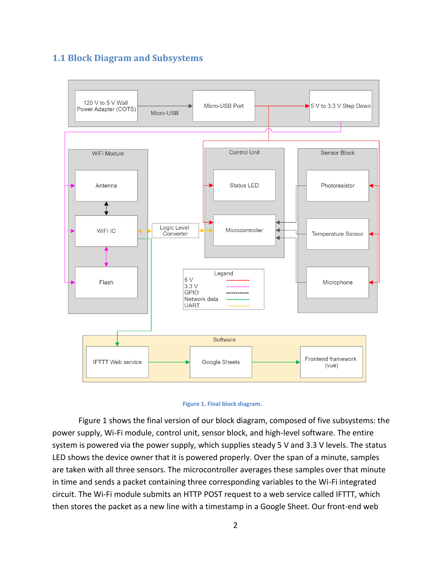### <span id="page-4-0"></span>**1.1 Block Diagram and Subsystems**





Figure 1 shows the final version of our block diagram, composed of five subsystems: the power supply, Wi-Fi module, control unit, sensor block, and high-level software. The entire system is powered via the power supply, which supplies steady 5 V and 3.3 V levels. The status LED shows the device owner that it is powered properly. Over the span of a minute, samples are taken with all three sensors. The microcontroller averages these samples over that minute in time and sends a packet containing three corresponding variables to the Wi-Fi integrated circuit. The Wi-Fi module submits an HTTP POST request to a web service called IFTTT, which then stores the packet as a new line with a timestamp in a Google Sheet. Our front-end web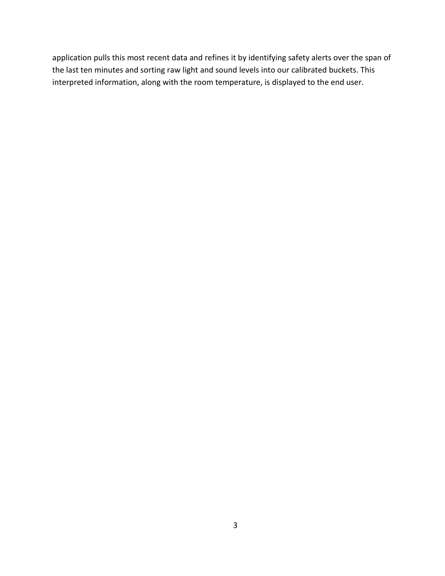application pulls this most recent data and refines it by identifying safety alerts over the span of the last ten minutes and sorting raw light and sound levels into our calibrated buckets. This interpreted information, along with the room temperature, is displayed to the end user.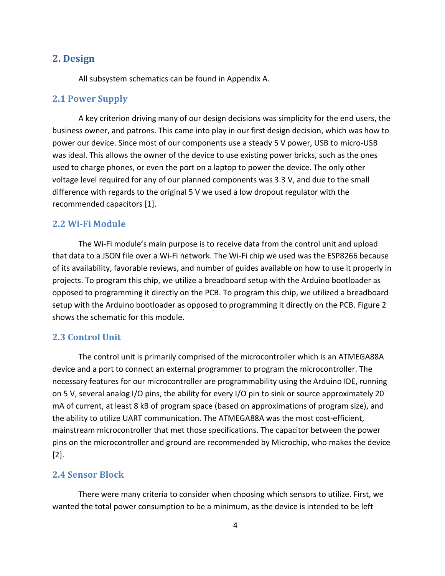### <span id="page-6-0"></span>**2. Design**

All subsystem schematics can be found in Appendix A.

#### <span id="page-6-1"></span>**2.1 Power Supply**

A key criterion driving many of our design decisions was simplicity for the end users, the business owner, and patrons. This came into play in our first design decision, which was how to power our device. Since most of our components use a steady 5 V power, USB to micro-USB was ideal. This allows the owner of the device to use existing power bricks, such as the ones used to charge phones, or even the port on a laptop to power the device. The only other voltage level required for any of our planned components was 3.3 V, and due to the small difference with regards to the original 5 V we used a low dropout regulator with the recommended capacitors [1].

#### <span id="page-6-2"></span>**2.2 Wi-Fi Module**

The Wi-Fi module's main purpose is to receive data from the control unit and upload that data to a JSON file over a Wi-Fi network. The Wi-Fi chip we used was the ESP8266 because of its availability, favorable reviews, and number of guides available on how to use it properly in projects. To program this chip, we utilize a breadboard setup with the Arduino bootloader as opposed to programming it directly on the PCB. To program this chip, we utilized a breadboard setup with the Arduino bootloader as opposed to programming it directly on the PCB. Figure 2 shows the schematic for this module.

### <span id="page-6-3"></span>**2.3 Control Unit**

The control unit is primarily comprised of the microcontroller which is an ATMEGA88A device and a port to connect an external programmer to program the microcontroller. The necessary features for our microcontroller are programmability using the Arduino IDE, running on 5 V, several analog I/O pins, the ability for every I/O pin to sink or source approximately 20 mA of current, at least 8 kB of program space (based on approximations of program size), and the ability to utilize UART communication. The ATMEGA88A was the most cost-efficient, mainstream microcontroller that met those specifications. The capacitor between the power pins on the microcontroller and ground are recommended by Microchip, who makes the device [2].

### <span id="page-6-4"></span>**2.4 Sensor Block**

There were many criteria to consider when choosing which sensors to utilize. First, we wanted the total power consumption to be a minimum, as the device is intended to be left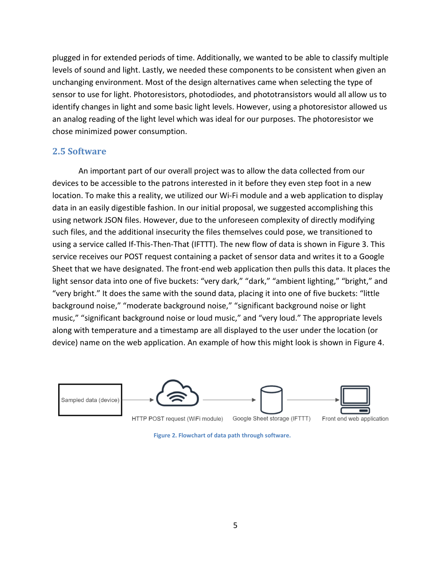plugged in for extended periods of time. Additionally, we wanted to be able to classify multiple levels of sound and light. Lastly, we needed these components to be consistent when given an unchanging environment. Most of the design alternatives came when selecting the type of sensor to use for light. Photoresistors, photodiodes, and phototransistors would all allow us to identify changes in light and some basic light levels. However, using a photoresistor allowed us an analog reading of the light level which was ideal for our purposes. The photoresistor we chose minimized power consumption.

#### <span id="page-7-0"></span>**2.5 Software**

An important part of our overall project was to allow the data collected from our devices to be accessible to the patrons interested in it before they even step foot in a new location. To make this a reality, we utilized our Wi-Fi module and a web application to display data in an easily digestible fashion. In our initial proposal, we suggested accomplishing this using network JSON files. However, due to the unforeseen complexity of directly modifying such files, and the additional insecurity the files themselves could pose, we transitioned to using a service called If-This-Then-That (IFTTT). The new flow of data is shown in Figure 3. This service receives our POST request containing a packet of sensor data and writes it to a Google Sheet that we have designated. The front-end web application then pulls this data. It places the light sensor data into one of five buckets: "very dark," "dark," "ambient lighting," "bright," and "very bright." It does the same with the sound data, placing it into one of five buckets: "little background noise," "moderate background noise," "significant background noise or light music," "significant background noise or loud music," and "very loud." The appropriate levels along with temperature and a timestamp are all displayed to the user under the location (or device) name on the web application. An example of how this might look is shown in Figure 4.



**Figure 2. Flowchart of data path through software.**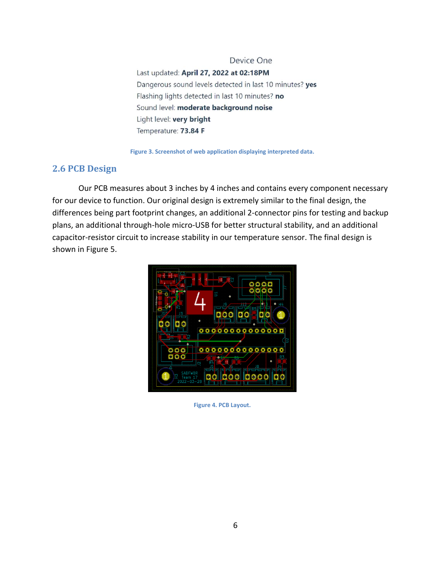Device One Last updated: April 27, 2022 at 02:18PM Dangerous sound levels detected in last 10 minutes? yes Flashing lights detected in last 10 minutes? no Sound level: moderate background noise Light level: very bright Temperature: 73.84 F

**Figure 3. Screenshot of web application displaying interpreted data.**

### <span id="page-8-0"></span>**2.6 PCB Design**

Our PCB measures about 3 inches by 4 inches and contains every component necessary for our device to function. Our original design is extremely similar to the final design, the differences being part footprint changes, an additional 2-connector pins for testing and backup plans, an additional through-hole micro-USB for better structural stability, and an additional capacitor-resistor circuit to increase stability in our temperature sensor. The final design is shown in Figure 5.



**Figure 4. PCB Layout.**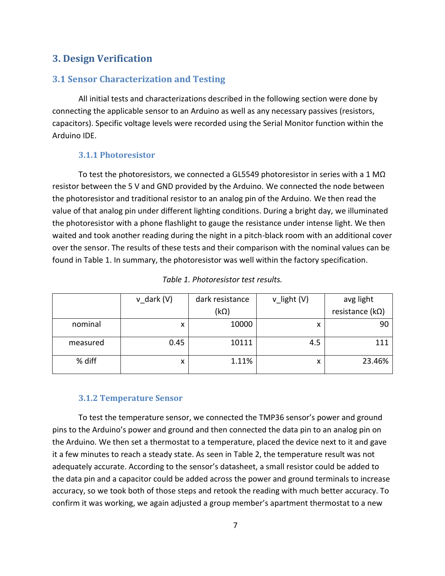### <span id="page-9-0"></span>**3. Design Verification**

### <span id="page-9-1"></span>**3.1 Sensor Characterization and Testing**

All initial tests and characterizations described in the following section were done by connecting the applicable sensor to an Arduino as well as any necessary passives (resistors, capacitors). Specific voltage levels were recorded using the Serial Monitor function within the Arduino IDE.

#### **3.1.1 Photoresistor**

<span id="page-9-2"></span>To test the photoresistors, we connected a GL5549 photoresistor in series with a 1 M $\Omega$ resistor between the 5 V and GND provided by the Arduino. We connected the node between the photoresistor and traditional resistor to an analog pin of the Arduino. We then read the value of that analog pin under different lighting conditions. During a bright day, we illuminated the photoresistor with a phone flashlight to gauge the resistance under intense light. We then waited and took another reading during the night in a pitch-black room with an additional cover over the sensor. The results of these tests and their comparison with the nominal values can be found in Table 1. In summary, the photoresistor was well within the factory specification.

|          | $v$ dark $(V)$ | dark resistance | v_light (V) | avg light                |
|----------|----------------|-----------------|-------------|--------------------------|
|          |                | $(k\Omega)$     |             | resistance ( $k\Omega$ ) |
| nominal  | x              | 10000           | x           | 90                       |
| measured | 0.45           | 10111           | 4.5         | 111                      |
| % diff   | x              | 1.11%           | X           | 23.46%                   |

### **3.1.2 Temperature Sensor**

<span id="page-9-3"></span>To test the temperature sensor, we connected the TMP36 sensor's power and ground pins to the Arduino's power and ground and then connected the data pin to an analog pin on the Arduino. We then set a thermostat to a temperature, placed the device next to it and gave it a few minutes to reach a steady state. As seen in Table 2, the temperature result was not adequately accurate. According to the sensor's datasheet, a small resistor could be added to the data pin and a capacitor could be added across the power and ground terminals to increase accuracy, so we took both of those steps and retook the reading with much better accuracy. To confirm it was working, we again adjusted a group member's apartment thermostat to a new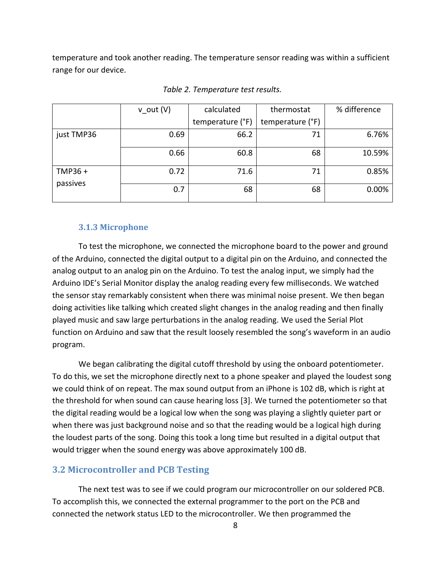temperature and took another reading. The temperature sensor reading was within a sufficient range for our device.

|                    | $v_$ out (V) | calculated       | thermostat       | % difference |
|--------------------|--------------|------------------|------------------|--------------|
|                    |              | temperature (°F) | temperature (°F) |              |
| just TMP36         | 0.69         | 66.2             | 71               | 6.76%        |
|                    | 0.66         | 60.8             | 68               | 10.59%       |
| TMP36+<br>passives | 0.72         | 71.6             | 71               | 0.85%        |
|                    | 0.7          | 68               | 68               | 0.00%        |

*Table 2. Temperature test results.*

#### **3.1.3 Microphone**

<span id="page-10-0"></span>To test the microphone, we connected the microphone board to the power and ground of the Arduino, connected the digital output to a digital pin on the Arduino, and connected the analog output to an analog pin on the Arduino. To test the analog input, we simply had the Arduino IDE's Serial Monitor display the analog reading every few milliseconds. We watched the sensor stay remarkably consistent when there was minimal noise present. We then began doing activities like talking which created slight changes in the analog reading and then finally played music and saw large perturbations in the analog reading. We used the Serial Plot function on Arduino and saw that the result loosely resembled the song's waveform in an audio program.

We began calibrating the digital cutoff threshold by using the onboard potentiometer. To do this, we set the microphone directly next to a phone speaker and played the loudest song we could think of on repeat. The max sound output from an iPhone is 102 dB, which is right at the threshold for when sound can cause hearing loss [3]. We turned the potentiometer so that the digital reading would be a logical low when the song was playing a slightly quieter part or when there was just background noise and so that the reading would be a logical high during the loudest parts of the song. Doing this took a long time but resulted in a digital output that would trigger when the sound energy was above approximately 100 dB.

#### <span id="page-10-1"></span>**3.2 Microcontroller and PCB Testing**

The next test was to see if we could program our microcontroller on our soldered PCB. To accomplish this, we connected the external programmer to the port on the PCB and connected the network status LED to the microcontroller. We then programmed the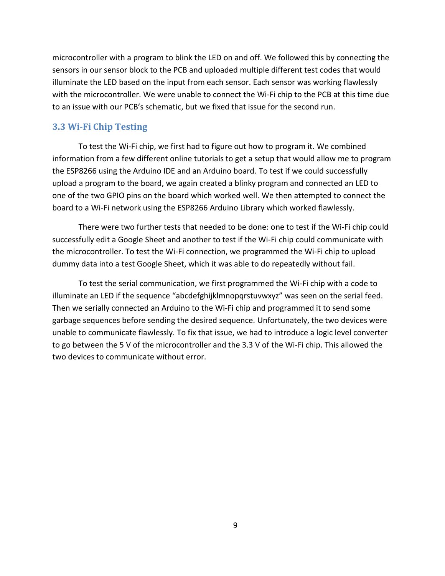microcontroller with a program to blink the LED on and off. We followed this by connecting the sensors in our sensor block to the PCB and uploaded multiple different test codes that would illuminate the LED based on the input from each sensor. Each sensor was working flawlessly with the microcontroller. We were unable to connect the Wi-Fi chip to the PCB at this time due to an issue with our PCB's schematic, but we fixed that issue for the second run.

#### <span id="page-11-0"></span>**3.3 Wi-Fi Chip Testing**

To test the Wi-Fi chip, we first had to figure out how to program it. We combined information from a few different online tutorials to get a setup that would allow me to program the ESP8266 using the Arduino IDE and an Arduino board. To test if we could successfully upload a program to the board, we again created a blinky program and connected an LED to one of the two GPIO pins on the board which worked well. We then attempted to connect the board to a Wi-Fi network using the ESP8266 Arduino Library which worked flawlessly.

There were two further tests that needed to be done: one to test if the Wi-Fi chip could successfully edit a Google Sheet and another to test if the Wi-Fi chip could communicate with the microcontroller. To test the Wi-Fi connection, we programmed the Wi-Fi chip to upload dummy data into a test Google Sheet, which it was able to do repeatedly without fail.

To test the serial communication, we first programmed the Wi-Fi chip with a code to illuminate an LED if the sequence "abcdefghijklmnopqrstuvwxyz" was seen on the serial feed. Then we serially connected an Arduino to the Wi-Fi chip and programmed it to send some garbage sequences before sending the desired sequence. Unfortunately, the two devices were unable to communicate flawlessly. To fix that issue, we had to introduce a logic level converter to go between the 5 V of the microcontroller and the 3.3 V of the Wi-Fi chip. This allowed the two devices to communicate without error.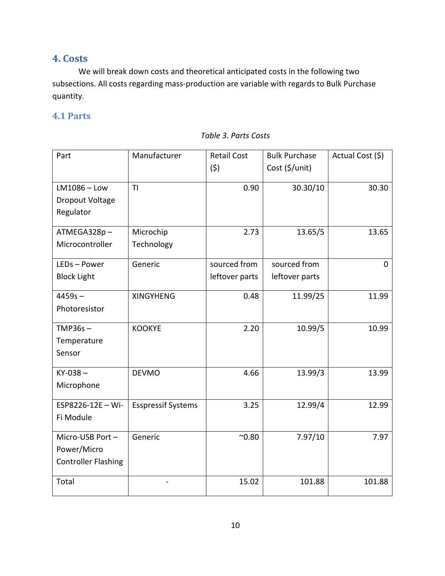### <span id="page-12-0"></span>**4. Costs**

We will break down costs and theoretical anticipated costs in the following two subsections. All costs regarding mass-production are variable with regards to Bulk Purchase quantity.

### <span id="page-12-1"></span>**4.1 Parts**

| Part                       | Manufacturer              | <b>Retail Cost</b><br>(5) | <b>Bulk Purchase</b><br>Cost (\$/unit) | Actual Cost (\$) |
|----------------------------|---------------------------|---------------------------|----------------------------------------|------------------|
| $LM1086 - Low$             | T <sub>l</sub>            | 0.90                      | 30.30/10                               | 30.30            |
| Dropout Voltage            |                           |                           |                                        |                  |
| Regulator                  |                           |                           |                                        |                  |
| ATMEGA328p-                | Microchip                 | 2.73                      | 13.65/5                                | 13.65            |
| Microcontroller            | Technology                |                           |                                        |                  |
| LEDs-Power                 | Generic                   | sourced from              | sourced from                           | $\Omega$         |
| <b>Block Light</b>         |                           | leftover parts            | leftover parts                         |                  |
| $4459s -$                  | <b>XINGYHENG</b>          | 0.48                      | 11.99/25                               | 11.99            |
| Photoresistor              |                           |                           |                                        |                  |
| $TMP36s -$                 | <b>KOOKYE</b>             | 2.20                      | 10.99/5                                | 10.99            |
| Temperature                |                           |                           |                                        |                  |
| Sensor                     |                           |                           |                                        |                  |
| $KY-038 -$                 | <b>DEVMO</b>              | 4.66                      | 13.99/3                                | 13.99            |
| Microphone                 |                           |                           |                                        |                  |
| ESP8226-12E - Wi-          | <b>Esspressif Systems</b> | 3.25                      | 12.99/4                                | 12.99            |
| Fi Module                  |                           |                           |                                        |                  |
| Micro-USB Port-            | Generic                   | $^{\sim}0.80$             | 7.97/10                                | 7.97             |
| Power/Micro                |                           |                           |                                        |                  |
| <b>Controller Flashing</b> |                           |                           |                                        |                  |
| Total                      |                           | 15.02                     | 101.88                                 | 101.88           |

#### *Table 3. Parts Costs*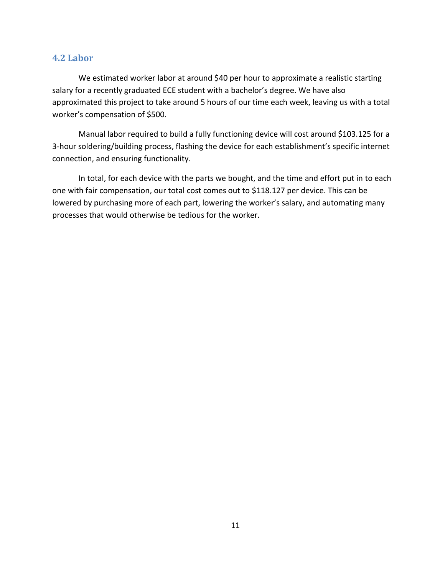### <span id="page-13-0"></span>**4.2 Labor**

We estimated worker labor at around \$40 per hour to approximate a realistic starting salary for a recently graduated ECE student with a bachelor's degree. We have also approximated this project to take around 5 hours of our time each week, leaving us with a total worker's compensation of \$500.

Manual labor required to build a fully functioning device will cost around \$103.125 for a 3-hour soldering/building process, flashing the device for each establishment's specific internet connection, and ensuring functionality.

In total, for each device with the parts we bought, and the time and effort put in to each one with fair compensation, our total cost comes out to \$118.127 per device. This can be lowered by purchasing more of each part, lowering the worker's salary, and automating many processes that would otherwise be tedious for the worker.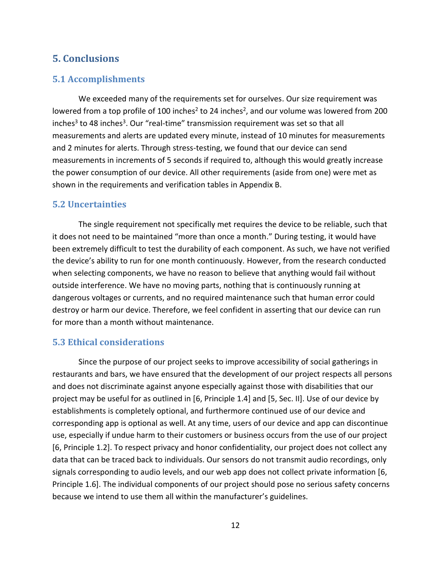### <span id="page-14-0"></span>**5. Conclusions**

### <span id="page-14-1"></span>**5.1 Accomplishments**

We exceeded many of the requirements set for ourselves. Our size requirement was lowered from a top profile of 100 inches<sup>2</sup> to 24 inches<sup>2</sup>, and our volume was lowered from 200 inches<sup>3</sup> to 48 inches<sup>3</sup>. Our "real-time" transmission requirement was set so that all measurements and alerts are updated every minute, instead of 10 minutes for measurements and 2 minutes for alerts. Through stress-testing, we found that our device can send measurements in increments of 5 seconds if required to, although this would greatly increase the power consumption of our device. All other requirements (aside from one) were met as shown in the requirements and verification tables in Appendix B.

### <span id="page-14-2"></span>**5.2 Uncertainties**

The single requirement not specifically met requires the device to be reliable, such that it does not need to be maintained "more than once a month." During testing, it would have been extremely difficult to test the durability of each component. As such, we have not verified the device's ability to run for one month continuously. However, from the research conducted when selecting components, we have no reason to believe that anything would fail without outside interference. We have no moving parts, nothing that is continuously running at dangerous voltages or currents, and no required maintenance such that human error could destroy or harm our device. Therefore, we feel confident in asserting that our device can run for more than a month without maintenance.

#### <span id="page-14-3"></span>**5.3 Ethical considerations**

Since the purpose of our project seeks to improve accessibility of social gatherings in restaurants and bars, we have ensured that the development of our project respects all persons and does not discriminate against anyone especially against those with disabilities that our project may be useful for as outlined in [6, Principle 1.4] and [5, Sec. II]. Use of our device by establishments is completely optional, and furthermore continued use of our device and corresponding app is optional as well. At any time, users of our device and app can discontinue use, especially if undue harm to their customers or business occurs from the use of our project [6, Principle 1.2]. To respect privacy and honor confidentiality, our project does not collect any data that can be traced back to individuals. Our sensors do not transmit audio recordings, only signals corresponding to audio levels, and our web app does not collect private information [6, Principle 1.6]. The individual components of our project should pose no serious safety concerns because we intend to use them all within the manufacturer's guidelines.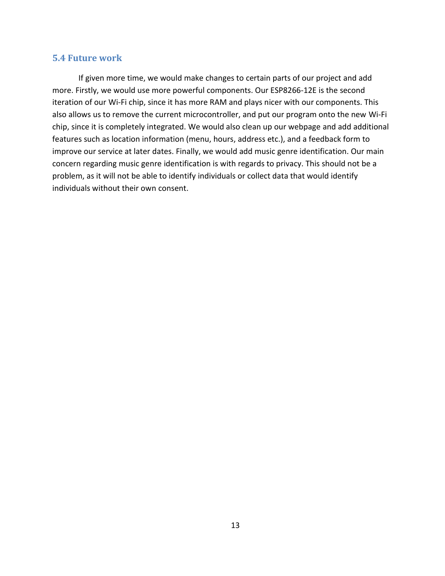#### <span id="page-15-0"></span>**5.4 Future work**

If given more time, we would make changes to certain parts of our project and add more. Firstly, we would use more powerful components. Our ESP8266-12E is the second iteration of our Wi-Fi chip, since it has more RAM and plays nicer with our components. This also allows us to remove the current microcontroller, and put our program onto the new Wi-Fi chip, since it is completely integrated. We would also clean up our webpage and add additional features such as location information (menu, hours, address etc.), and a feedback form to improve our service at later dates. Finally, we would add music genre identification. Our main concern regarding music genre identification is with regards to privacy. This should not be a problem, as it will not be able to identify individuals or collect data that would identify individuals without their own consent.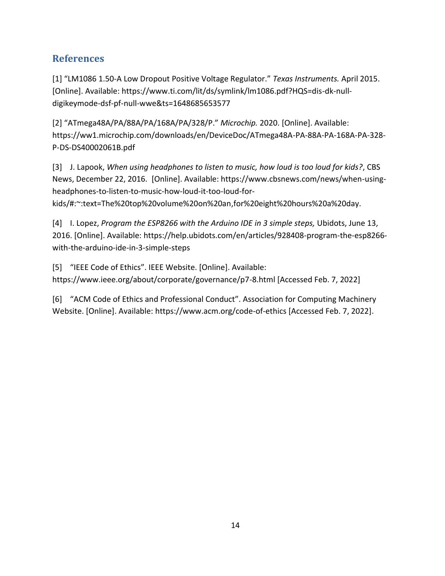### <span id="page-16-0"></span>**References**

[1] "LM1086 1.50-A Low Dropout Positive Voltage Regulator." *Texas Instruments.* April 2015. [Online]. Available: https://www.ti.com/lit/ds/symlink/lm1086.pdf?HQS=dis-dk-nulldigikeymode-dsf-pf-null-wwe&ts=1648685653577

[2] "ATmega48A/PA/88A/PA/168A/PA/328/P." *Microchip.* 2020. [Online]. Available: https://ww1.microchip.com/downloads/en/DeviceDoc/ATmega48A-PA-88A-PA-168A-PA-328- P-DS-DS40002061B.pdf

[3] J. Lapook, *When using headphones to listen to music, how loud is too loud for kids?*, CBS News, December 22, 2016. [Online]. Available: https://www.cbsnews.com/news/when-usingheadphones-to-listen-to-music-how-loud-it-too-loud-forkids/#:~:text=The%20top%20volume%20on%20an,for%20eight%20hours%20a%20day.

[4] I. Lopez, *Program the ESP8266 with the Arduino IDE in 3 simple steps*, Ubidots, June 13, 2016. [Online]. Available: https://help.ubidots.com/en/articles/928408-program-the-esp8266 with-the-arduino-ide-in-3-simple-steps

[5] "IEEE Code of Ethics". IEEE Website. [Online]. Available: https://www.ieee.org/about/corporate/governance/p7-8.html [Accessed Feb. 7, 2022]

[6] "ACM Code of Ethics and Professional Conduct". Association for Computing Machinery Website. [Online]. Available: https://www.acm.org/code-of-ethics [Accessed Feb. 7, 2022].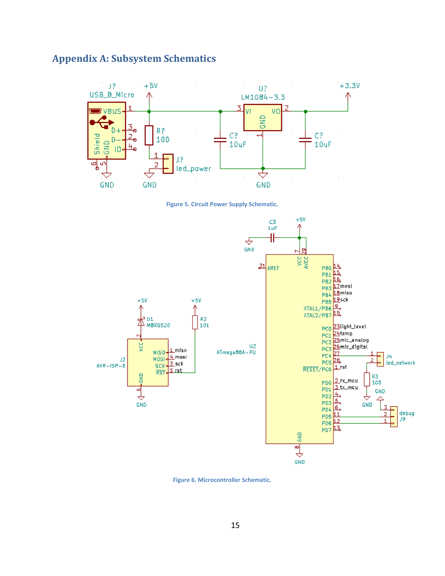### <span id="page-17-0"></span>**Appendix A: Subsystem Schematics**



**Figure 5. Circuit Power Supply Schematic.**



**Figure 6. Microcontroller Schematic.**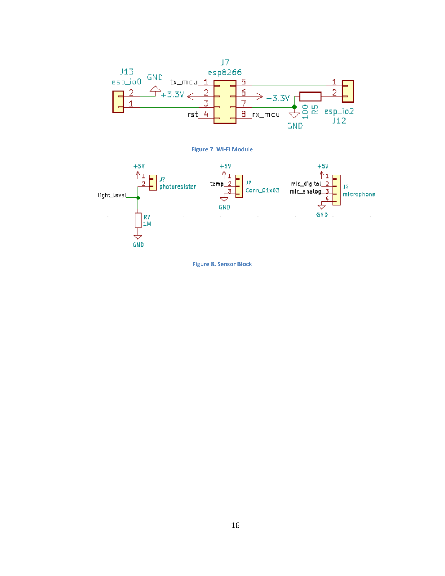





**Figure 8. Sensor Block**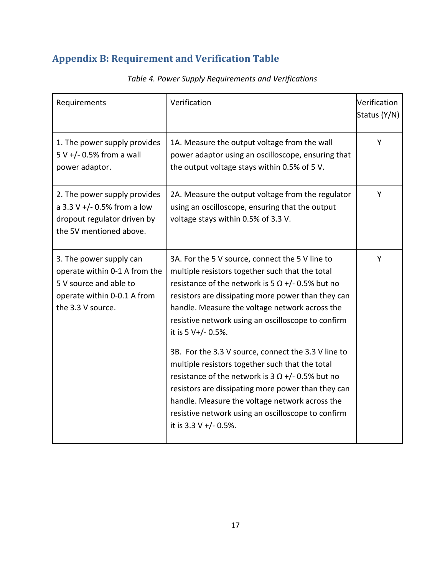# <span id="page-19-0"></span>**Appendix B: Requirement and Verification Table**

| Requirements                                                                                                                           | Verification                                                                                                                                                                                                                                                                                                                                                                                                                                                                                                                                                                                                                                                                                                  | Verification<br>Status (Y/N) |
|----------------------------------------------------------------------------------------------------------------------------------------|---------------------------------------------------------------------------------------------------------------------------------------------------------------------------------------------------------------------------------------------------------------------------------------------------------------------------------------------------------------------------------------------------------------------------------------------------------------------------------------------------------------------------------------------------------------------------------------------------------------------------------------------------------------------------------------------------------------|------------------------------|
| 1. The power supply provides<br>$5 V +/- 0.5%$ from a wall<br>power adaptor.                                                           | 1A. Measure the output voltage from the wall<br>power adaptor using an oscilloscope, ensuring that<br>the output voltage stays within 0.5% of 5 V.                                                                                                                                                                                                                                                                                                                                                                                                                                                                                                                                                            | Y                            |
| 2. The power supply provides<br>a 3.3 V +/- 0.5% from a low<br>dropout regulator driven by<br>the 5V mentioned above.                  | 2A. Measure the output voltage from the regulator<br>using an oscilloscope, ensuring that the output<br>voltage stays within 0.5% of 3.3 V.                                                                                                                                                                                                                                                                                                                                                                                                                                                                                                                                                                   | Y                            |
| 3. The power supply can<br>operate within 0-1 A from the<br>5 V source and able to<br>operate within 0-0.1 A from<br>the 3.3 V source. | 3A. For the 5 V source, connect the 5 V line to<br>multiple resistors together such that the total<br>resistance of the network is 5 $\Omega$ +/- 0.5% but no<br>resistors are dissipating more power than they can<br>handle. Measure the voltage network across the<br>resistive network using an oscilloscope to confirm<br>it is 5 V+/- 0.5%.<br>3B. For the 3.3 V source, connect the 3.3 V line to<br>multiple resistors together such that the total<br>resistance of the network is 3 $\Omega$ +/- 0.5% but no<br>resistors are dissipating more power than they can<br>handle. Measure the voltage network across the<br>resistive network using an oscilloscope to confirm<br>it is 3.3 V +/- 0.5%. | Υ                            |

### *Table 4. Power Supply Requirements and Verifications*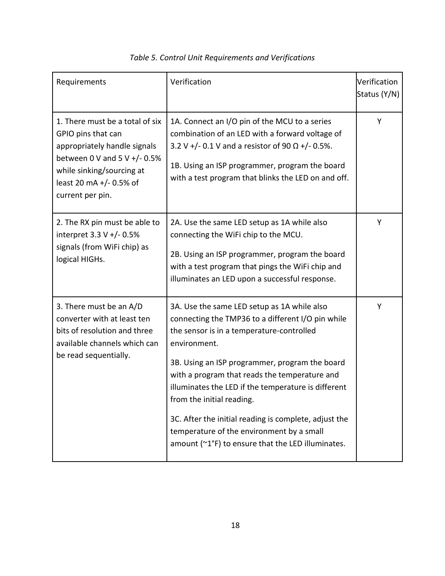| Requirements                                                                                                                                                                                        | Verification                                                                                                                                                                                                                                                                                                                                                                                                                                                                                                    | Verification<br>Status (Y/N) |
|-----------------------------------------------------------------------------------------------------------------------------------------------------------------------------------------------------|-----------------------------------------------------------------------------------------------------------------------------------------------------------------------------------------------------------------------------------------------------------------------------------------------------------------------------------------------------------------------------------------------------------------------------------------------------------------------------------------------------------------|------------------------------|
| 1. There must be a total of six<br>GPIO pins that can<br>appropriately handle signals<br>between 0 V and 5 V $+/- 0.5%$<br>while sinking/sourcing at<br>least 20 mA +/- 0.5% of<br>current per pin. | 1A. Connect an I/O pin of the MCU to a series<br>combination of an LED with a forward voltage of<br>3.2 V +/- 0.1 V and a resistor of 90 $\Omega$ +/- 0.5%.<br>1B. Using an ISP programmer, program the board<br>with a test program that blinks the LED on and off.                                                                                                                                                                                                                                            | Υ                            |
| 2. The RX pin must be able to<br>interpret 3.3 V +/- 0.5%<br>signals (from WiFi chip) as<br>logical HIGHs.                                                                                          | 2A. Use the same LED setup as 1A while also<br>connecting the WiFi chip to the MCU.<br>2B. Using an ISP programmer, program the board<br>with a test program that pings the WiFi chip and<br>illuminates an LED upon a successful response.                                                                                                                                                                                                                                                                     | Υ                            |
| 3. There must be an A/D<br>converter with at least ten<br>bits of resolution and three<br>available channels which can<br>be read sequentially.                                                     | 3A. Use the same LED setup as 1A while also<br>connecting the TMP36 to a different I/O pin while<br>the sensor is in a temperature-controlled<br>environment.<br>3B. Using an ISP programmer, program the board<br>with a program that reads the temperature and<br>illuminates the LED if the temperature is different<br>from the initial reading.<br>3C. After the initial reading is complete, adjust the<br>temperature of the environment by a small<br>amount (~1°F) to ensure that the LED illuminates. | Υ                            |

### *Table 5. Control Unit Requirements and Verifications*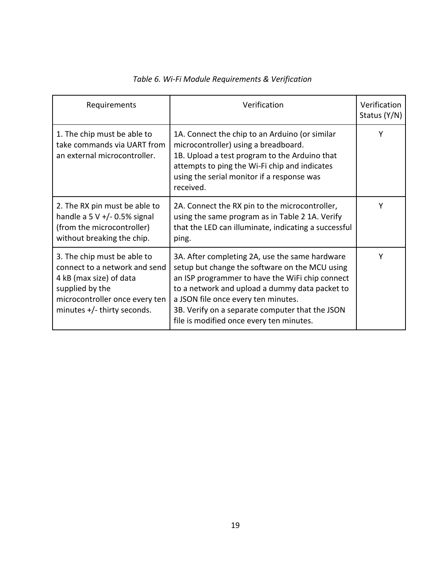| Requirements                                                                                                                                                                | Verification                                                                                                                                                                                                                                                                                                                                | Verification<br>Status (Y/N) |
|-----------------------------------------------------------------------------------------------------------------------------------------------------------------------------|---------------------------------------------------------------------------------------------------------------------------------------------------------------------------------------------------------------------------------------------------------------------------------------------------------------------------------------------|------------------------------|
| 1. The chip must be able to<br>take commands via UART from<br>an external microcontroller.                                                                                  | 1A. Connect the chip to an Arduino (or similar<br>microcontroller) using a breadboard.<br>1B. Upload a test program to the Arduino that<br>attempts to ping the Wi-Fi chip and indicates<br>using the serial monitor if a response was<br>received.                                                                                         | Υ                            |
| 2. The RX pin must be able to<br>handle a $5 V +/- 0.5%$ signal<br>(from the microcontroller)<br>without breaking the chip.                                                 | 2A. Connect the RX pin to the microcontroller,<br>using the same program as in Table 2 1A. Verify<br>that the LED can illuminate, indicating a successful<br>ping.                                                                                                                                                                          | Y                            |
| 3. The chip must be able to<br>connect to a network and send<br>4 kB (max size) of data<br>supplied by the<br>microcontroller once every ten<br>minutes +/- thirty seconds. | 3A. After completing 2A, use the same hardware<br>setup but change the software on the MCU using<br>an ISP programmer to have the WiFi chip connect<br>to a network and upload a dummy data packet to<br>a JSON file once every ten minutes.<br>3B. Verify on a separate computer that the JSON<br>file is modified once every ten minutes. | Y                            |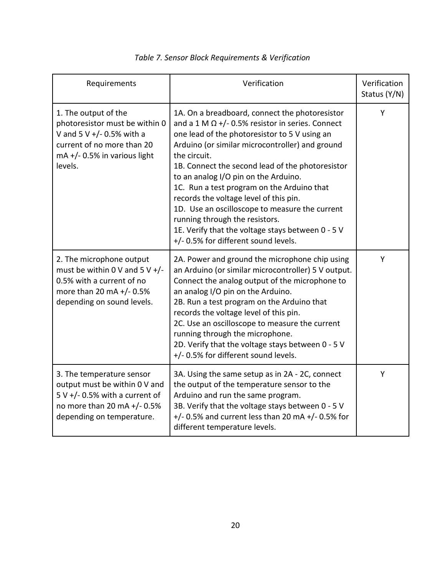| Requirements                                                                                                                                                       | Verification                                                                                                                                                                                                                                                                                                                                                                                                                                                                                                                                                                                       | Verification<br>Status (Y/N) |
|--------------------------------------------------------------------------------------------------------------------------------------------------------------------|----------------------------------------------------------------------------------------------------------------------------------------------------------------------------------------------------------------------------------------------------------------------------------------------------------------------------------------------------------------------------------------------------------------------------------------------------------------------------------------------------------------------------------------------------------------------------------------------------|------------------------------|
| 1. The output of the<br>photoresistor must be within 0<br>V and $5 V +/- 0.5%$ with a<br>current of no more than 20<br>$mA + / - 0.5%$ in various light<br>levels. | 1A. On a breadboard, connect the photoresistor<br>and a 1 M $\Omega$ +/- 0.5% resistor in series. Connect<br>one lead of the photoresistor to 5 V using an<br>Arduino (or similar microcontroller) and ground<br>the circuit.<br>1B. Connect the second lead of the photoresistor<br>to an analog I/O pin on the Arduino.<br>1C. Run a test program on the Arduino that<br>records the voltage level of this pin.<br>1D. Use an oscilloscope to measure the current<br>running through the resistors.<br>1E. Verify that the voltage stays between 0 - 5 V<br>+/- 0.5% for different sound levels. | Y                            |
| 2. The microphone output<br>must be within 0 V and 5 V $+/-$<br>0.5% with a current of no<br>more than 20 mA +/- 0.5%<br>depending on sound levels.                | 2A. Power and ground the microphone chip using<br>an Arduino (or similar microcontroller) 5 V output.<br>Connect the analog output of the microphone to<br>an analog I/O pin on the Arduino.<br>2B. Run a test program on the Arduino that<br>records the voltage level of this pin.<br>2C. Use an oscilloscope to measure the current<br>running through the microphone.<br>2D. Verify that the voltage stays between 0 - 5 V<br>+/-0.5% for different sound levels.                                                                                                                              | Υ                            |
| 3. The temperature sensor<br>output must be within 0 V and<br>$5 V +$ /-0.5% with a current of<br>no more than 20 mA +/- 0.5%<br>depending on temperature.         | 3A. Using the same setup as in 2A - 2C, connect<br>the output of the temperature sensor to the<br>Arduino and run the same program.<br>3B. Verify that the voltage stays between 0 - 5 V<br>$+/-$ 0.5% and current less than 20 mA $+/-$ 0.5% for<br>different temperature levels.                                                                                                                                                                                                                                                                                                                 | Y                            |

### *Table 7. Sensor Block Requirements & Verification*